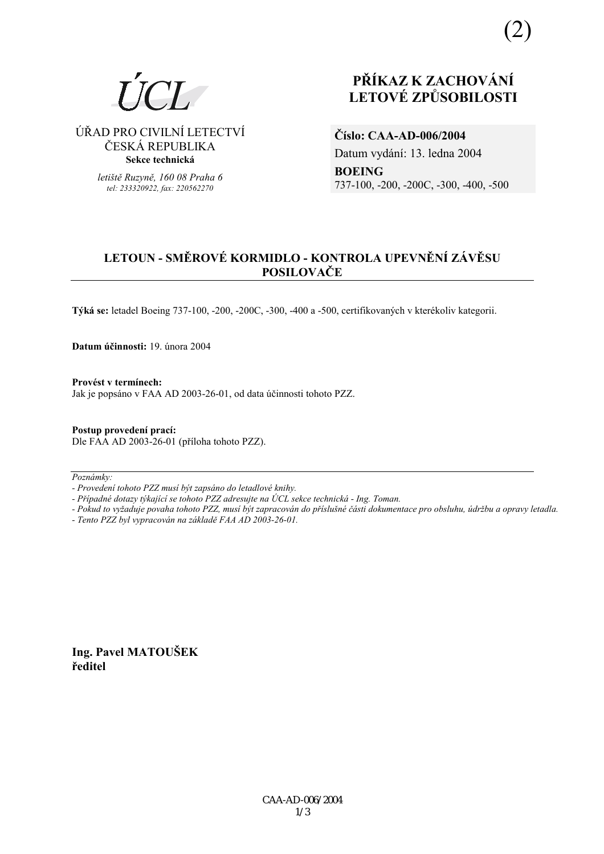(2)



ÚŘAD PRO CIVILNÍ LETECTVÍ ČESKÁ REPUBLIKA **Sekce technická** 

> *letiötě Ruzyně, 160 08 Praha 6 tel: 233320922, fax: 220562270*

# **PŘÍKAZ K ZACHOVÁNÍ LETOV… ZPŮSOBILOSTI**

**ČÌslo: CAA-AD-006/2004**  Datum vydání: 13. ledna 2004 **BOEING**  737-100, -200, -200C, -300, -400, -500

# **LETOUN - SMĚROV… KORMIDLO - KONTROLA UPEVNĚNÕ Z£VĚSU POSILOVAČE**

Týká se: letadel Boeing 737-100, -200, -200C, -300, -400 a -500, certifikovaných v kterékoliv kategorii.

**Datum ˙činnosti:** 19. ˙nora 2004

Provést v termínech: Jak je popsáno v FAA AD 2003-26-01, od data účinnosti tohoto PZZ.

**Postup provedenÌ pracÌ:**  Dle FAA AD 2003-26-01 (příloha tohoto PZZ).

 $Poznámky:$ 

*- ProvedenÌ tohoto PZZ musÌ b˝t zaps·no do letadlovÈ knihy.* 

- Případné dotazy týkající se tohoto PZZ adresujte na ÚCL sekce technická - Ing. Toman.

*- Pokud to vyûaduje povaha tohoto PZZ, musÌ b˝t zapracov·n do přÌsluönÈ č·sti dokumentace pro obsluhu, ˙drûbu a opravy letadla.* 

*- Tento PZZ byl vypracov·n na z·kladě FAA AD 2003-26-01.* 

**Ing. Pavel MATOUäEK ředitel**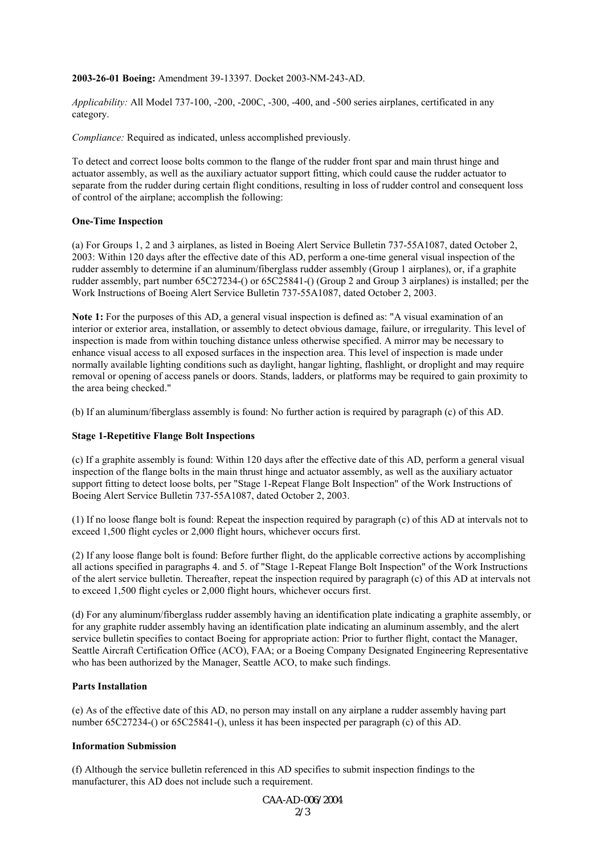#### **2003-26-01 Boeing:** Amendment 39-13397. Docket 2003-NM-243-AD.

*Applicability:* All Model 737-100, -200, -200C, -300, -400, and -500 series airplanes, certificated in any category.

*Compliance:* Required as indicated, unless accomplished previously.

To detect and correct loose bolts common to the flange of the rudder front spar and main thrust hinge and actuator assembly, as well as the auxiliary actuator support fitting, which could cause the rudder actuator to separate from the rudder during certain flight conditions, resulting in loss of rudder control and consequent loss of control of the airplane; accomplish the following:

#### **One-Time Inspection**

(a) For Groups 1, 2 and 3 airplanes, as listed in Boeing Alert Service Bulletin 737-55A1087, dated October 2, 2003: Within 120 days after the effective date of this AD, perform a one-time general visual inspection of the rudder assembly to determine if an aluminum/fiberglass rudder assembly (Group 1 airplanes), or, if a graphite rudder assembly, part number 65C27234-() or 65C25841-() (Group 2 and Group 3 airplanes) is installed; per the Work Instructions of Boeing Alert Service Bulletin 737-55A1087, dated October 2, 2003.

**Note 1:** For the purposes of this AD, a general visual inspection is defined as: "A visual examination of an interior or exterior area, installation, or assembly to detect obvious damage, failure, or irregularity. This level of inspection is made from within touching distance unless otherwise specified. A mirror may be necessary to enhance visual access to all exposed surfaces in the inspection area. This level of inspection is made under normally available lighting conditions such as daylight, hangar lighting, flashlight, or droplight and may require removal or opening of access panels or doors. Stands, ladders, or platforms may be required to gain proximity to the area being checked."

(b) If an aluminum/fiberglass assembly is found: No further action is required by paragraph (c) of this AD.

#### **Stage 1-Repetitive Flange Bolt Inspections**

(c) If a graphite assembly is found: Within 120 days after the effective date of this AD, perform a general visual inspection of the flange bolts in the main thrust hinge and actuator assembly, as well as the auxiliary actuator support fitting to detect loose bolts, per "Stage 1-Repeat Flange Bolt Inspection" of the Work Instructions of Boeing Alert Service Bulletin 737-55A1087, dated October 2, 2003.

(1) If no loose flange bolt is found: Repeat the inspection required by paragraph (c) of this AD at intervals not to exceed 1,500 flight cycles or 2,000 flight hours, whichever occurs first.

(2) If any loose flange bolt is found: Before further flight, do the applicable corrective actions by accomplishing all actions specified in paragraphs 4. and 5. of "Stage 1-Repeat Flange Bolt Inspection" of the Work Instructions of the alert service bulletin. Thereafter, repeat the inspection required by paragraph (c) of this AD at intervals not to exceed 1,500 flight cycles or 2,000 flight hours, whichever occurs first.

(d) For any aluminum/fiberglass rudder assembly having an identification plate indicating a graphite assembly, or for any graphite rudder assembly having an identification plate indicating an aluminum assembly, and the alert service bulletin specifies to contact Boeing for appropriate action: Prior to further flight, contact the Manager, Seattle Aircraft Certification Office (ACO), FAA; or a Boeing Company Designated Engineering Representative who has been authorized by the Manager, Seattle ACO, to make such findings.

#### **Parts Installation**

(e) As of the effective date of this AD, no person may install on any airplane a rudder assembly having part number 65C27234-() or 65C25841-(), unless it has been inspected per paragraph (c) of this AD.

#### **Information Submission**

(f) Although the service bulletin referenced in this AD specifies to submit inspection findings to the manufacturer, this AD does not include such a requirement.

> CAA-AD-006/2004  $2/3$